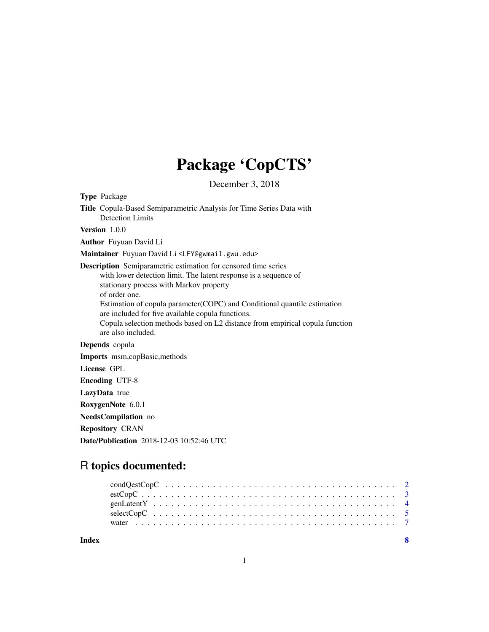## Package 'CopCTS'

December 3, 2018

| <b>Type Package</b>                                                                                                                                                                                                                                                                                                                                                                                                                           |
|-----------------------------------------------------------------------------------------------------------------------------------------------------------------------------------------------------------------------------------------------------------------------------------------------------------------------------------------------------------------------------------------------------------------------------------------------|
| Title Copula-Based Semiparametric Analysis for Time Series Data with<br>Detection Limits                                                                                                                                                                                                                                                                                                                                                      |
| Version $1.0.0$                                                                                                                                                                                                                                                                                                                                                                                                                               |
| <b>Author</b> Fuyuan David Li                                                                                                                                                                                                                                                                                                                                                                                                                 |
| Maintainer Fuyuan David Li <lfy@gwmail.gwu.edu></lfy@gwmail.gwu.edu>                                                                                                                                                                                                                                                                                                                                                                          |
| <b>Description</b> Semiparametric estimation for censored time series<br>with lower detection limit. The latent response is a sequence of<br>stationary process with Markov property<br>of order one.<br>Estimation of copula parameter (COPC) and Conditional quantile estimation<br>are included for five available copula functions.<br>Copula selection methods based on L2 distance from empirical copula function<br>are also included. |
| Depends copula                                                                                                                                                                                                                                                                                                                                                                                                                                |
| Imports msm,copBasic, methods                                                                                                                                                                                                                                                                                                                                                                                                                 |
| License GPL                                                                                                                                                                                                                                                                                                                                                                                                                                   |
| <b>Encoding UTF-8</b>                                                                                                                                                                                                                                                                                                                                                                                                                         |
| LazyData true                                                                                                                                                                                                                                                                                                                                                                                                                                 |
| RoxygenNote 6.0.1                                                                                                                                                                                                                                                                                                                                                                                                                             |
| NeedsCompilation no                                                                                                                                                                                                                                                                                                                                                                                                                           |
| <b>Repository CRAN</b>                                                                                                                                                                                                                                                                                                                                                                                                                        |

R topics documented:

Date/Publication 2018-12-03 10:52:46 UTC

| Index |  |  |  |  |  |  |  |  |  |  |  |  |  |  |  |  |  |  |  |
|-------|--|--|--|--|--|--|--|--|--|--|--|--|--|--|--|--|--|--|--|
|       |  |  |  |  |  |  |  |  |  |  |  |  |  |  |  |  |  |  |  |
|       |  |  |  |  |  |  |  |  |  |  |  |  |  |  |  |  |  |  |  |
|       |  |  |  |  |  |  |  |  |  |  |  |  |  |  |  |  |  |  |  |
|       |  |  |  |  |  |  |  |  |  |  |  |  |  |  |  |  |  |  |  |
|       |  |  |  |  |  |  |  |  |  |  |  |  |  |  |  |  |  |  |  |

1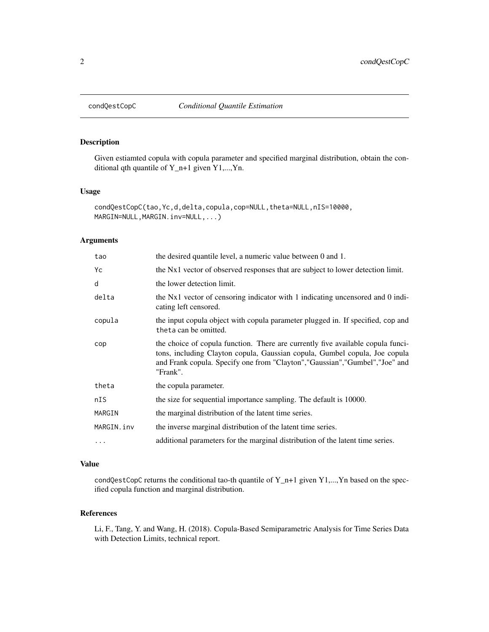<span id="page-1-0"></span>

## Description

Given estiamted copula with copula parameter and specified marginal distribution, obtain the conditional qth quantile of  $Y_n+1$  given  $Y1,...,Yn$ .

#### Usage

```
condQestCopC(tao, Yc,d,delta,copula,cop=NULL,theta=NULL,nIS=10000,
MARGIN=NULL, MARGIN.inv=NULL,...)
```
#### Arguments

| tao        | the desired quantile level, a numeric value between 0 and 1.                                                                                                                                                                                               |
|------------|------------------------------------------------------------------------------------------------------------------------------------------------------------------------------------------------------------------------------------------------------------|
| Yс         | the Nx1 vector of observed responses that are subject to lower detection limit.                                                                                                                                                                            |
| d          | the lower detection limit.                                                                                                                                                                                                                                 |
| delta      | the Nx1 vector of censoring indicator with 1 indicating uncensored and 0 indi-<br>cating left censored.                                                                                                                                                    |
| copula     | the input copula object with copula parameter plugged in. If specified, cop and<br>theta can be omitted.                                                                                                                                                   |
| cop        | the choice of copula function. There are currently five available copula funci-<br>tons, including Clayton copula, Gaussian copula, Gumbel copula, Joe copula<br>and Frank copula. Specify one from "Clayton", "Gaussian", "Gumbel", "Joe" and<br>"Frank". |
| theta      | the copula parameter.                                                                                                                                                                                                                                      |
| nIS        | the size for sequential importance sampling. The default is 10000.                                                                                                                                                                                         |
| MARGIN     | the marginal distribution of the latent time series.                                                                                                                                                                                                       |
| MARGIN.inv | the inverse marginal distribution of the latent time series.                                                                                                                                                                                               |
| $\ddotsc$  | additional parameters for the marginal distribution of the latent time series.                                                                                                                                                                             |

## Value

condQestCopC returns the conditional tao-th quantile of  $Y_n+1$  given  $Y1,...,Yn$  based on the specified copula function and marginal distribution.

## References

Li, F., Tang, Y. and Wang, H. (2018). Copula-Based Semiparametric Analysis for Time Series Data with Detection Limits, technical report.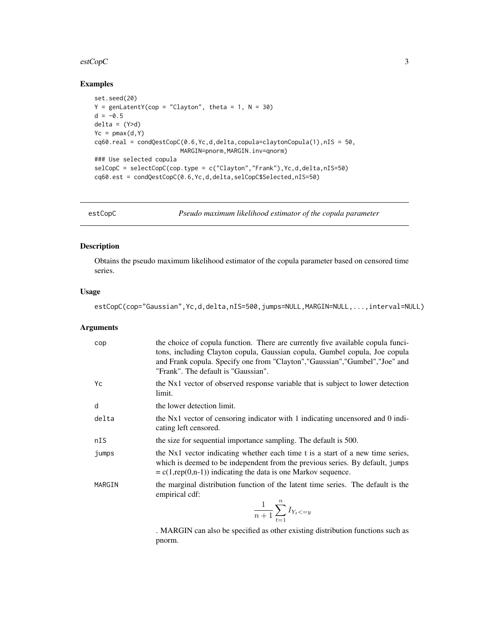#### <span id="page-2-0"></span>estCopC 3

## Examples

```
set.seed(20)
Y = genLatentY(cop = "Clayton", theta = 1, N = 30)d = -0.5delta = (Y>d)Yc = pmax(d, Y)cq60.real = condQestCopC(0.6,Yc,d,delta,copula=claytonCopula(1),nIS = 50,
                       MARGIN=pnorm,MARGIN.inv=qnorm)
### Use selected copula
selCopC = selectCopC(cop.type = c("Clayton","Frank"),Yc,d,delta,nIS=50)
cq60.est = condQestCopC(0.6,Yc,d,delta,selCopC$Selected,nIS=50)
```
<span id="page-2-1"></span>estCopC *Pseudo maximum likelihood estimator of the copula parameter*

## Description

Obtains the pseudo maximum likelihood estimator of the copula parameter based on censored time series.

## Usage

estCopC(cop="Gaussian",Yc,d,delta,nIS=500,jumps=NULL,MARGIN=NULL,...,interval=NULL)

#### Arguments

| cop    | the choice of copula function. There are currently five available copula funci-<br>tons, including Clayton copula, Gaussian copula, Gumbel copula, Joe copula<br>and Frank copula. Specify one from "Clayton", "Gaussian", "Gumbel", "Joe" and<br>"Frank". The default is "Gaussian". |
|--------|---------------------------------------------------------------------------------------------------------------------------------------------------------------------------------------------------------------------------------------------------------------------------------------|
| Yc     | the Nx1 vector of observed response variable that is subject to lower detection<br>limit.                                                                                                                                                                                             |
| d      | the lower detection limit.                                                                                                                                                                                                                                                            |
| delta  | the Nx1 vector of censoring indicator with 1 indicating uncensored and 0 indi-<br>cating left censored.                                                                                                                                                                               |
| nIS    | the size for sequential importance sampling. The default is 500.                                                                                                                                                                                                                      |
| jumps  | the Nx1 vector indicating whether each time t is a start of a new time series,<br>which is deemed to be independent from the previous series. By default, jumps<br>$= c(1, rep(0,n-1))$ indicating the data is one Markov sequence.                                                   |
| MARGIN | the marginal distribution function of the latent time series. The default is the<br>empirical cdf:<br>$\frac{1}{n+1}\sum_{t=1}^{n} I_{Y_t}$                                                                                                                                           |

. MARGIN can also be specified as other existing distribution functions such as pnorm.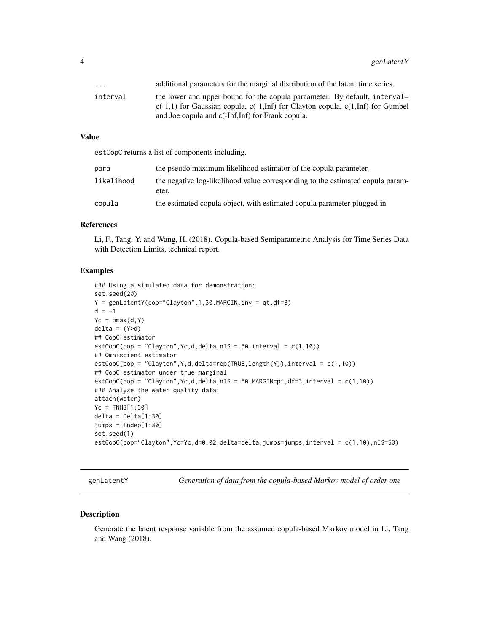<span id="page-3-0"></span>

| $\cdot$ $\cdot$ $\cdot$ | additional parameters for the marginal distribution of the latent time series.       |
|-------------------------|--------------------------------------------------------------------------------------|
| interval                | the lower and upper bound for the copula paraameter. By default, interval            |
|                         | $c(-1,1)$ for Gaussian copula, $c(-1,Inf)$ for Clayton copula, $c(1,Inf)$ for Gumbel |
|                         | and Joe copula and c(-Inf, Inf) for Frank copula.                                    |

#### Value

estCopC returns a list of components including.

| para       | the pseudo maximum likelihood estimator of the copula parameter.                        |
|------------|-----------------------------------------------------------------------------------------|
| likelihood | the negative log-likelihood value corresponding to the estimated copula param-<br>eter. |
| copula     | the estimated copula object, with estimated copula parameter plugged in.                |

#### References

Li, F., Tang, Y. and Wang, H. (2018). Copula-based Semiparametric Analysis for Time Series Data with Detection Limits, technical report.

#### Examples

```
### Using a simulated data for demonstration:
set.seed(20)
Y = genLatentY(cop="Clayton", 1, 30, MARGIN.inv = qt, df=3)d = -1Yc = pmax(d, Y)delta = (Y>d)## CopC estimator
estCopC(cop = "Clayton",Yc,d,delta,nIS = 50,interval = c(1,10))
## Omniscient estimator
estCopC(cop = "Clayton",Y,d,delta=rep(TRUE,length(Y)),interval = c(1,10))
## CopC estimator under true marginal
estCopC(cop = "Clayton", Yc, d, delta, nIS = 50, MARGIN=pt, df=3, interval = c(1,10))### Analyze the water quality data:
attach(water)
Yc = TNH3[1:30]
delta = Delta[1:30]
jumps = Indep[1:30]
set.seed(1)
estCopC(cop="Clayton",Yc=Yc,d=0.02,delta=delta,jumps=jumps,interval = c(1,10),nIS=50)
```
genLatentY *Generation of data from the copula-based Markov model of order one*

#### Description

Generate the latent response variable from the assumed copula-based Markov model in Li, Tang and Wang (2018).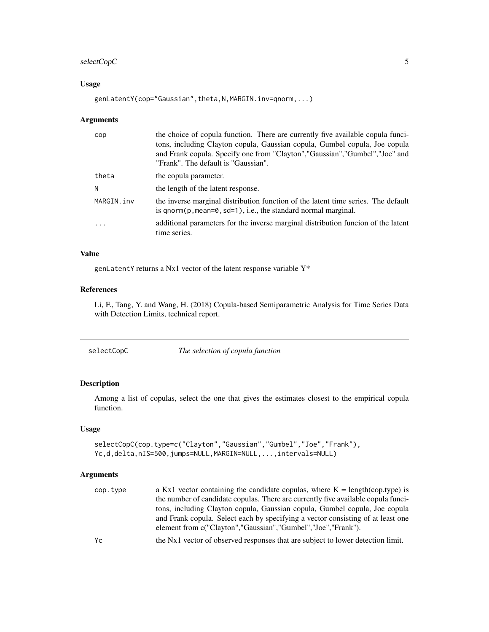## <span id="page-4-0"></span>selectCopC 5

## Usage

genLatentY(cop="Gaussian",theta,N,MARGIN.inv=qnorm,...)

#### Arguments

| cop                     | the choice of copula function. There are currently five available copula funci-<br>tons, including Clayton copula, Gaussian copula, Gumbel copula, Joe copula<br>and Frank copula. Specify one from "Clayton", "Gaussian", "Gumbel", "Joe" and<br>"Frank". The default is "Gaussian". |
|-------------------------|---------------------------------------------------------------------------------------------------------------------------------------------------------------------------------------------------------------------------------------------------------------------------------------|
| theta                   | the copula parameter.                                                                                                                                                                                                                                                                 |
| N                       | the length of the latent response.                                                                                                                                                                                                                                                    |
| MARGIN.inv              | the inverse marginal distribution function of the latent time series. The default<br>is $qnorm(p, mean=0, sd=1)$ , i.e., the standard normal marginal.                                                                                                                                |
| $\cdot$ $\cdot$ $\cdot$ | additional parameters for the inverse marginal distribution funcion of the latent<br>time series.                                                                                                                                                                                     |

## Value

genLatentY returns a Nx1 vector of the latent response variable Y\*

## References

Li, F., Tang, Y. and Wang, H. (2018) Copula-based Semiparametric Analysis for Time Series Data with Detection Limits, technical report.

| selectCopC | The selection of copula function |  |
|------------|----------------------------------|--|
|------------|----------------------------------|--|

## Description

Among a list of copulas, select the one that gives the estimates closest to the empirical copula function.

## Usage

```
selectCopC(cop.type=c("Clayton","Gaussian","Gumbel","Joe","Frank"),
Yc,d,delta,nIS=500,jumps=NULL,MARGIN=NULL,...,intervals=NULL)
```
## Arguments

| cop.type | a Kx1 vector containing the candidate copulas, where $K = \text{length}(cop.type)$ is |
|----------|---------------------------------------------------------------------------------------|
|          | the number of candidate copulas. There are currently five available copula funci-     |
|          | tons, including Clayton copula, Gaussian copula, Gumbel copula, Joe copula            |
|          | and Frank copula. Select each by specifying a vector consisting of at least one       |
|          | element from c("Clayton","Gaussian","Gumbel","Joe","Frank").                          |
| Yс       | the Nx1 vector of observed responses that are subject to lower detection limit.       |
|          |                                                                                       |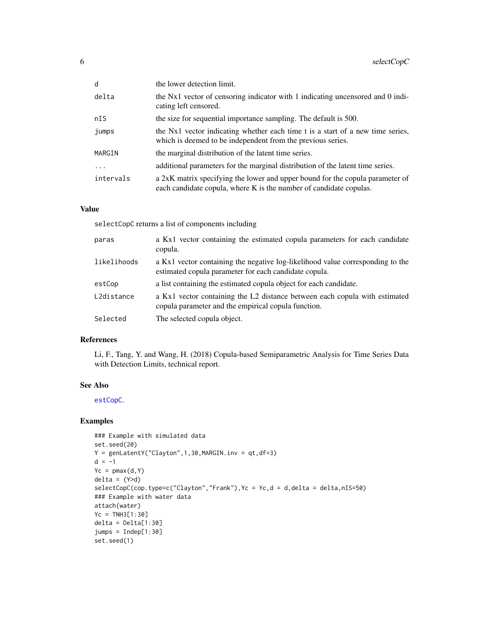<span id="page-5-0"></span>

| d         | the lower detection limit.                                                                                                                          |
|-----------|-----------------------------------------------------------------------------------------------------------------------------------------------------|
| delta     | the Nx1 vector of censoring indicator with 1 indicating uncensored and 0 indi-<br>cating left censored.                                             |
| nIS       | the size for sequential importance sampling. The default is 500.                                                                                    |
| jumps     | the Nx1 vector indicating whether each time t is a start of a new time series,<br>which is deemed to be independent from the previous series.       |
| MARGIN    | the marginal distribution of the latent time series.                                                                                                |
| .         | additional parameters for the marginal distribution of the latent time series.                                                                      |
| intervals | a 2xK matrix specifying the lower and upper bound for the copula parameter of<br>each candidate copula, where K is the number of candidate copulas. |

#### Value

selectCopC returns a list of components including

| paras       | a Kx1 vector containing the estimated copula parameters for each candidate<br>copula.                                                   |
|-------------|-----------------------------------------------------------------------------------------------------------------------------------------|
| likelihoods | a Kx1 vector containing the negative log-likelihood value corresponding to the<br>estimated copula parameter for each candidate copula. |
| estCop      | a list containing the estimated copula object for each candidate.                                                                       |
| L2distance  | a Kx1 vector containing the L2 distance between each copula with estimated<br>copula parameter and the empirical copula function.       |
| Selected    | The selected copula object.                                                                                                             |

### References

Li, F., Tang, Y. and Wang, H. (2018) Copula-based Semiparametric Analysis for Time Series Data with Detection Limits, technical report.

#### See Also

[estCopC](#page-2-1).

## Examples

```
### Example with simulated data
set.seed(20)
Y = genLatentY("Clayton", 1,30, MARGIN.inv = qt, df=3)d = -1Yc = pmax(d, Y)delta = (Y>d)selectCopC(cop.type=c("Clayton","Frank"),Yc = Yc,d = d,delta = delta,nIS=50)
### Example with water data
attach(water)
Yc = TNH3[1:30]
delta = Delta[1:30]
jumps = Indep[1:30]
set.seed(1)
```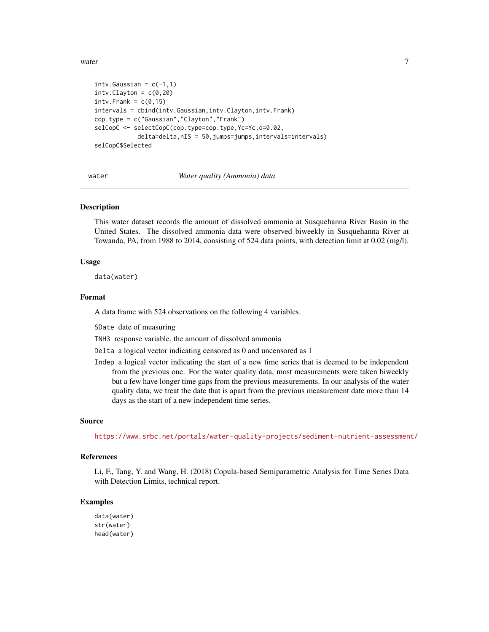<span id="page-6-0"></span> $\omega$  water  $\overline{7}$ 

```
intv.Gaussian = c(-1,1)intv.Clayton = c(0,20)intv.Frank = c(0,15)intervals = cbind(intv.Gaussian,intv.Clayton,intv.Frank)
cop.type = c("Gaussian","Clayton","Frank")
selCopC <- selectCopC(cop.type=cop.type,Yc=Yc,d=0.02,
            delta=delta,nIS = 50,jumps=jumps,intervals=intervals)
selCopC$Selected
```
water *Water quality (Ammonia) data*

### Description

This water dataset records the amount of dissolved ammonia at Susquehanna River Basin in the United States. The dissolved ammonia data were observed biweekly in Susquehanna River at Towanda, PA, from 1988 to 2014, consisting of 524 data points, with detection limit at 0.02 (mg/l).

#### Usage

data(water)

#### Format

A data frame with 524 observations on the following 4 variables.

SDate date of measuring

TNH3 response variable, the amount of dissolved ammonia

Delta a logical vector indicating censored as 0 and uncensored as 1

Indep a logical vector indicating the start of a new time series that is deemed to be independent from the previous one. For the water quality data, most measurements were taken biweekly but a few have longer time gaps from the previous measurements. In our analysis of the water quality data, we treat the date that is apart from the previous measurement date more than 14 days as the start of a new independent time series.

#### Source

<https://www.srbc.net/portals/water-quality-projects/sediment-nutrient-assessment/>

#### References

Li, F., Tang, Y. and Wang, H. (2018) Copula-based Semiparametric Analysis for Time Series Data with Detection Limits, technical report.

#### Examples

```
data(water)
str(water)
head(water)
```